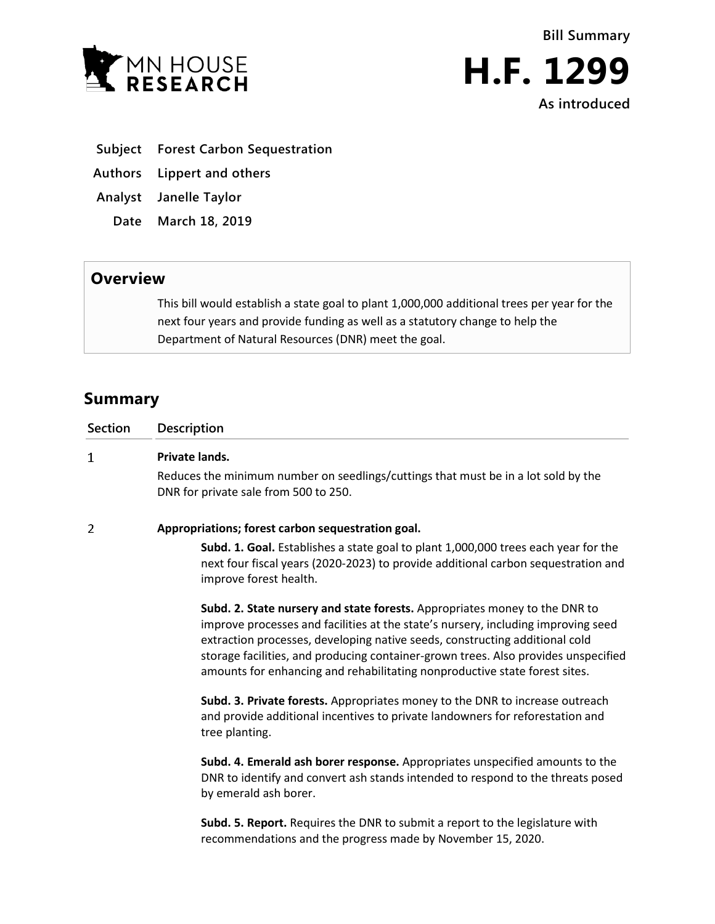



**As introduced**

- **Subject Forest Carbon Sequestration**
- **Authors Lippert and others**
- **Analyst Janelle Taylor**
	- **Date March 18, 2019**

## **Overview**

This bill would establish a state goal to plant 1,000,000 additional trees per year for the next four years and provide funding as well as a statutory change to help the Department of Natural Resources (DNR) meet the goal.

## **Summary**

| <b>Section</b> | <b>Description</b>                                                                                                                                                                                                                                                                                                                                                                                                 |
|----------------|--------------------------------------------------------------------------------------------------------------------------------------------------------------------------------------------------------------------------------------------------------------------------------------------------------------------------------------------------------------------------------------------------------------------|
| 1              | Private lands.                                                                                                                                                                                                                                                                                                                                                                                                     |
|                | Reduces the minimum number on seedlings/cuttings that must be in a lot sold by the<br>DNR for private sale from 500 to 250.                                                                                                                                                                                                                                                                                        |
| 2              | Appropriations; forest carbon sequestration goal.                                                                                                                                                                                                                                                                                                                                                                  |
|                | Subd. 1. Goal. Establishes a state goal to plant 1,000,000 trees each year for the<br>next four fiscal years (2020-2023) to provide additional carbon sequestration and<br>improve forest health.                                                                                                                                                                                                                  |
|                | Subd. 2. State nursery and state forests. Appropriates money to the DNR to<br>improve processes and facilities at the state's nursery, including improving seed<br>extraction processes, developing native seeds, constructing additional cold<br>storage facilities, and producing container-grown trees. Also provides unspecified<br>amounts for enhancing and rehabilitating nonproductive state forest sites. |
|                | <b>Subd. 3. Private forests.</b> Appropriates money to the DNR to increase outreach<br>and provide additional incentives to private landowners for reforestation and<br>tree planting.                                                                                                                                                                                                                             |

**Subd. 4. Emerald ash borer response.** Appropriates unspecified amounts to the DNR to identify and convert ash stands intended to respond to the threats posed by emerald ash borer.

**Subd. 5. Report.** Requires the DNR to submit a report to the legislature with recommendations and the progress made by November 15, 2020.